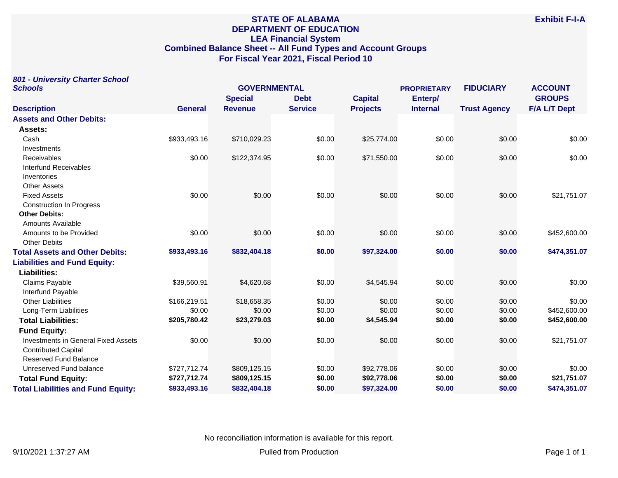# **STATE OF ALABAMA DEPARTMENT OF EDUCATION LEA Financial System Combined Balance Sheet -- All Fund Types and Account Groups For Fiscal Year 2021, Fiscal Period 10**

|         | 801 - University Charter School |  |
|---------|---------------------------------|--|
| Schools |                                 |  |

| <b>Schools</b>                             |                | <b>GOVERNMENTAL</b> |                |                 | <b>PROPRIETARY</b> | <b>FIDUCIARY</b>    | <b>ACCOUNT</b>      |
|--------------------------------------------|----------------|---------------------|----------------|-----------------|--------------------|---------------------|---------------------|
|                                            |                | <b>Special</b>      | <b>Debt</b>    | <b>Capital</b>  | Enterp/            |                     | <b>GROUPS</b>       |
| <b>Description</b>                         | <b>General</b> | <b>Revenue</b>      | <b>Service</b> | <b>Projects</b> | <b>Internal</b>    | <b>Trust Agency</b> | <b>F/A L/T Dept</b> |
| <b>Assets and Other Debits:</b>            |                |                     |                |                 |                    |                     |                     |
| Assets:                                    |                |                     |                |                 |                    |                     |                     |
| Cash                                       | \$933,493.16   | \$710,029.23        | \$0.00         | \$25,774.00     | \$0.00             | \$0.00              | \$0.00              |
| Investments                                |                |                     |                |                 |                    |                     |                     |
| <b>Receivables</b>                         | \$0.00         | \$122,374.95        | \$0.00         | \$71,550.00     | \$0.00             | \$0.00              | \$0.00              |
| Interfund Receivables                      |                |                     |                |                 |                    |                     |                     |
| Inventories                                |                |                     |                |                 |                    |                     |                     |
| <b>Other Assets</b>                        |                |                     |                |                 |                    |                     |                     |
| <b>Fixed Assets</b>                        | \$0.00         | \$0.00              | \$0.00         | \$0.00          | \$0.00             | \$0.00              | \$21,751.07         |
| <b>Construction In Progress</b>            |                |                     |                |                 |                    |                     |                     |
| <b>Other Debits:</b>                       |                |                     |                |                 |                    |                     |                     |
| <b>Amounts Available</b>                   |                |                     |                |                 |                    |                     |                     |
| Amounts to be Provided                     | \$0.00         | \$0.00              | \$0.00         | \$0.00          | \$0.00             | \$0.00              | \$452,600.00        |
| <b>Other Debits</b>                        |                |                     |                |                 |                    |                     |                     |
| <b>Total Assets and Other Debits:</b>      | \$933,493.16   | \$832,404.18        | \$0.00         | \$97,324.00     | \$0.00             | \$0.00              | \$474,351.07        |
| <b>Liabilities and Fund Equity:</b>        |                |                     |                |                 |                    |                     |                     |
| Liabilities:                               |                |                     |                |                 |                    |                     |                     |
| Claims Payable                             | \$39,560.91    | \$4,620.68          | \$0.00         | \$4,545.94      | \$0.00             | \$0.00              | \$0.00              |
| Interfund Payable                          |                |                     |                |                 |                    |                     |                     |
| <b>Other Liabilities</b>                   | \$166,219.51   | \$18,658.35         | \$0.00         | \$0.00          | \$0.00             | \$0.00              | \$0.00              |
| Long-Term Liabilities                      | \$0.00         | \$0.00              | \$0.00         | \$0.00          | \$0.00             | \$0.00              | \$452,600.00        |
| <b>Total Liabilities:</b>                  | \$205,780.42   | \$23,279.03         | \$0.00         | \$4,545.94      | \$0.00             | \$0.00              | \$452,600.00        |
| <b>Fund Equity:</b>                        |                |                     |                |                 |                    |                     |                     |
| <b>Investments in General Fixed Assets</b> | \$0.00         | \$0.00              | \$0.00         | \$0.00          | \$0.00             | \$0.00              | \$21,751.07         |
| <b>Contributed Capital</b>                 |                |                     |                |                 |                    |                     |                     |
| <b>Reserved Fund Balance</b>               |                |                     |                |                 |                    |                     |                     |
| Unreserved Fund balance                    | \$727,712.74   | \$809,125.15        | \$0.00         | \$92,778.06     | \$0.00             | \$0.00              | \$0.00              |
| <b>Total Fund Equity:</b>                  | \$727,712.74   | \$809,125.15        | \$0.00         | \$92,778.06     | \$0.00             | \$0.00              | \$21,751.07         |
| <b>Total Liabilities and Fund Equity:</b>  | \$933,493.16   | \$832,404.18        | \$0.00         | \$97,324.00     | \$0.00             | \$0.00              | \$474,351.07        |

No reconciliation information is available for this report.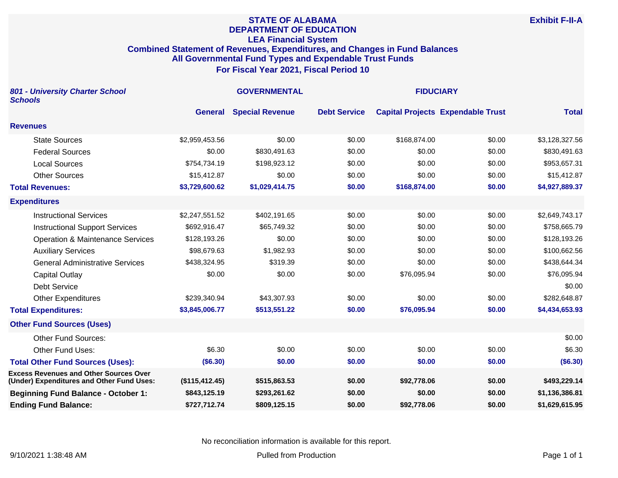#### **STATE OF ALABAMA DEPARTMENT OF EDUCATION LEA Financial System Combined Statement of Revenues, Expenditures, and Changes in Fund Balances All Governmental Fund Types and Expendable Trust Funds For Fiscal Year 2021, Fiscal Period 10**

| 801 - University Charter School<br><b>Schools</b>                                          |                | <b>GOVERNMENTAL</b>    | <b>FIDUCIARY</b>    |              |                                          |                |
|--------------------------------------------------------------------------------------------|----------------|------------------------|---------------------|--------------|------------------------------------------|----------------|
|                                                                                            | <b>General</b> | <b>Special Revenue</b> | <b>Debt Service</b> |              | <b>Capital Projects Expendable Trust</b> | <b>Total</b>   |
| <b>Revenues</b>                                                                            |                |                        |                     |              |                                          |                |
| <b>State Sources</b>                                                                       | \$2,959,453.56 | \$0.00                 | \$0.00              | \$168,874.00 | \$0.00                                   | \$3,128,327.56 |
| <b>Federal Sources</b>                                                                     | \$0.00         | \$830,491.63           | \$0.00              | \$0.00       | \$0.00                                   | \$830,491.63   |
| <b>Local Sources</b>                                                                       | \$754,734.19   | \$198,923.12           | \$0.00              | \$0.00       | \$0.00                                   | \$953,657.31   |
| <b>Other Sources</b>                                                                       | \$15,412.87    | \$0.00                 | \$0.00              | \$0.00       | \$0.00                                   | \$15,412.87    |
| <b>Total Revenues:</b>                                                                     | \$3,729,600.62 | \$1,029,414.75         | \$0.00              | \$168,874.00 | \$0.00                                   | \$4,927,889.37 |
| <b>Expenditures</b>                                                                        |                |                        |                     |              |                                          |                |
| <b>Instructional Services</b>                                                              | \$2,247,551.52 | \$402,191.65           | \$0.00              | \$0.00       | \$0.00                                   | \$2,649,743.17 |
| <b>Instructional Support Services</b>                                                      | \$692,916.47   | \$65,749.32            | \$0.00              | \$0.00       | \$0.00                                   | \$758,665.79   |
| <b>Operation &amp; Maintenance Services</b>                                                | \$128,193.26   | \$0.00                 | \$0.00              | \$0.00       | \$0.00                                   | \$128,193.26   |
| <b>Auxiliary Services</b>                                                                  | \$98,679.63    | \$1,982.93             | \$0.00              | \$0.00       | \$0.00                                   | \$100,662.56   |
| <b>General Administrative Services</b>                                                     | \$438,324.95   | \$319.39               | \$0.00              | \$0.00       | \$0.00                                   | \$438,644.34   |
| <b>Capital Outlay</b>                                                                      | \$0.00         | \$0.00                 | \$0.00              | \$76,095.94  | \$0.00                                   | \$76,095.94    |
| <b>Debt Service</b>                                                                        |                |                        |                     |              |                                          | \$0.00         |
| <b>Other Expenditures</b>                                                                  | \$239,340.94   | \$43,307.93            | \$0.00              | \$0.00       | \$0.00                                   | \$282,648.87   |
| <b>Total Expenditures:</b>                                                                 | \$3,845,006.77 | \$513,551.22           | \$0.00              | \$76,095.94  | \$0.00                                   | \$4,434,653.93 |
| <b>Other Fund Sources (Uses)</b>                                                           |                |                        |                     |              |                                          |                |
| <b>Other Fund Sources:</b>                                                                 |                |                        |                     |              |                                          | \$0.00         |
| <b>Other Fund Uses:</b>                                                                    | \$6.30         | \$0.00                 | \$0.00              | \$0.00       | \$0.00                                   | \$6.30         |
| <b>Total Other Fund Sources (Uses):</b>                                                    | (\$6.30)       | \$0.00                 | \$0.00              | \$0.00       | \$0.00                                   | (\$6.30)       |
| <b>Excess Revenues and Other Sources Over</b><br>(Under) Expenditures and Other Fund Uses: | (\$115,412.45) | \$515,863.53           | \$0.00              | \$92,778.06  | \$0.00                                   | \$493,229.14   |
| <b>Beginning Fund Balance - October 1:</b>                                                 | \$843,125.19   | \$293,261.62           | \$0.00              | \$0.00       | \$0.00                                   | \$1,136,386.81 |
| <b>Ending Fund Balance:</b>                                                                | \$727,712.74   | \$809,125.15           | \$0.00              | \$92,778.06  | \$0.00                                   | \$1,629,615.95 |

No reconciliation information is available for this report.

**Exhibit F-II-A**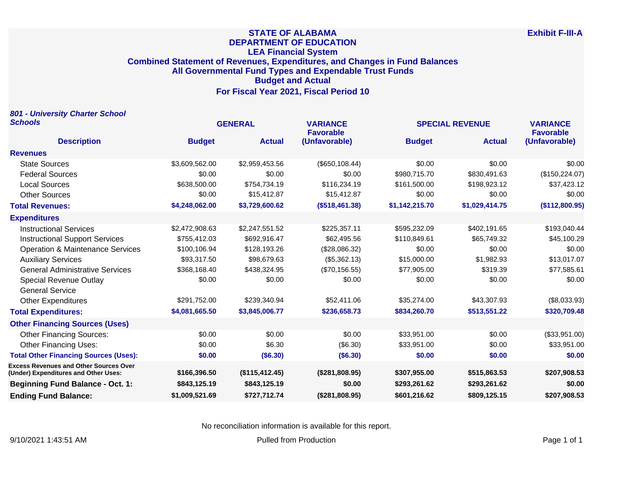## **STATE OF ALABAMA DEPARTMENT OF EDUCATION LEA Financial System Combined Statement of Revenues, Expenditures, and Changes in Fund Balances All Governmental Fund Types and Expendable Trust Funds Budget and Actual For Fiscal Year 2021, Fiscal Period 10**

| 801 - University Charter School                                                       |                |                |                                     |                        |                |                                     |
|---------------------------------------------------------------------------------------|----------------|----------------|-------------------------------------|------------------------|----------------|-------------------------------------|
| <b>Schools</b>                                                                        | <b>GENERAL</b> |                | <b>VARIANCE</b><br><b>Favorable</b> | <b>SPECIAL REVENUE</b> |                | <b>VARIANCE</b><br><b>Favorable</b> |
| <b>Description</b>                                                                    | <b>Budget</b>  | <b>Actual</b>  | (Unfavorable)                       | <b>Budget</b>          | <b>Actual</b>  | (Unfavorable)                       |
| <b>Revenues</b>                                                                       |                |                |                                     |                        |                |                                     |
| <b>State Sources</b>                                                                  | \$3,609,562.00 | \$2,959,453.56 | (\$650,108.44)                      | \$0.00                 | \$0.00         | \$0.00                              |
| <b>Federal Sources</b>                                                                | \$0.00         | \$0.00         | \$0.00                              | \$980,715.70           | \$830,491.63   | (\$150, 224.07)                     |
| <b>Local Sources</b>                                                                  | \$638,500.00   | \$754,734.19   | \$116,234.19                        | \$161,500.00           | \$198,923.12   | \$37,423.12                         |
| <b>Other Sources</b>                                                                  | \$0.00         | \$15,412.87    | \$15,412.87                         | \$0.00                 | \$0.00         | \$0.00                              |
| <b>Total Revenues:</b>                                                                | \$4,248,062.00 | \$3,729,600.62 | (\$518,461.38)                      | \$1,142,215.70         | \$1,029,414.75 | (\$112,800.95)                      |
| <b>Expenditures</b>                                                                   |                |                |                                     |                        |                |                                     |
| <b>Instructional Services</b>                                                         | \$2,472,908.63 | \$2,247,551.52 | \$225,357.11                        | \$595,232.09           | \$402,191.65   | \$193,040.44                        |
| <b>Instructional Support Services</b>                                                 | \$755,412.03   | \$692,916.47   | \$62,495.56                         | \$110,849.61           | \$65,749.32    | \$45,100.29                         |
| <b>Operation &amp; Maintenance Services</b>                                           | \$100,106.94   | \$128,193.26   | (\$28,086.32)                       | \$0.00                 | \$0.00         | \$0.00                              |
| <b>Auxiliary Services</b>                                                             | \$93,317.50    | \$98,679.63    | (\$5,362.13)                        | \$15,000.00            | \$1,982.93     | \$13,017.07                         |
| <b>General Administrative Services</b>                                                | \$368,168.40   | \$438,324.95   | (\$70,156.55)                       | \$77,905.00            | \$319.39       | \$77,585.61                         |
| Special Revenue Outlay                                                                | \$0.00         | \$0.00         | \$0.00                              | \$0.00                 | \$0.00         | \$0.00                              |
| <b>General Service</b>                                                                |                |                |                                     |                        |                |                                     |
| <b>Other Expenditures</b>                                                             | \$291,752.00   | \$239,340.94   | \$52,411.06                         | \$35,274.00            | \$43,307.93    | (\$8,033.93)                        |
| <b>Total Expenditures:</b>                                                            | \$4,081,665.50 | \$3,845,006.77 | \$236,658.73                        | \$834,260.70           | \$513,551.22   | \$320,709.48                        |
| <b>Other Financing Sources (Uses)</b>                                                 |                |                |                                     |                        |                |                                     |
| <b>Other Financing Sources:</b>                                                       | \$0.00         | \$0.00         | \$0.00                              | \$33,951.00            | \$0.00         | (\$33,951.00)                       |
| <b>Other Financing Uses:</b>                                                          | \$0.00         | \$6.30         | (\$6.30)                            | \$33,951.00            | \$0.00         | \$33,951.00                         |
| <b>Total Other Financing Sources (Uses):</b>                                          | \$0.00         | (\$6.30)       | (\$6.30)                            | \$0.00                 | \$0.00         | \$0.00                              |
| <b>Excess Revenues and Other Sources Over</b><br>(Under) Expenditures and Other Uses: | \$166,396.50   | (\$115,412.45) | (\$281,808.95)                      | \$307,955.00           | \$515,863.53   | \$207,908.53                        |
| <b>Beginning Fund Balance - Oct. 1:</b>                                               | \$843,125.19   | \$843,125.19   | \$0.00                              | \$293,261.62           | \$293,261.62   | \$0.00                              |
| <b>Ending Fund Balance:</b>                                                           | \$1,009,521.69 | \$727,712.74   | (\$281,808.95)                      | \$601,216.62           | \$809,125.15   | \$207,908.53                        |

No reconciliation information is available for this report.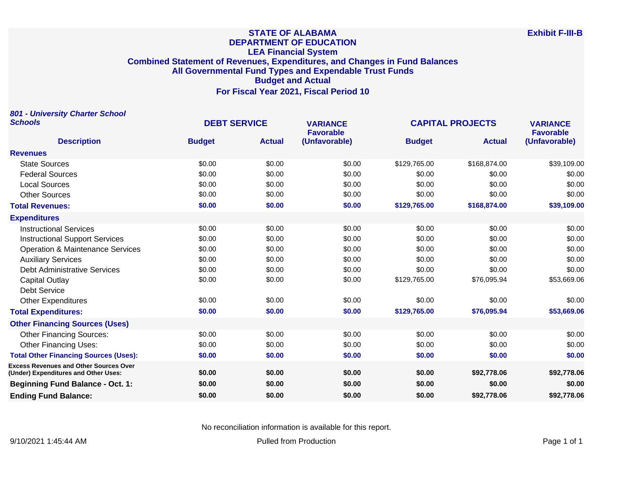#### **STATE OF ALABAMA DEPARTMENT OF EDUCATION LEA Financial System Combined Statement of Revenues, Expenditures, and Changes in Fund Balances All Governmental Fund Types and Expendable Trust Funds Budget and Actual For Fiscal Year 2021, Fiscal Period 10**

**801 - University Charter School Schools DEBT SERVICE VARIANCE CAPITAL PROJECTS VARIANCE Description Budget Actual Favorable (Unfavorable) Budget Actual Favorable (Unfavorable) Revenues** State Sources \$0.00 \$0.00 \$0.00 \$129,765.00 \$168,874.00 \$39,109.00 50.00 \$0.00 \$0.00 \$0.00 \$0.00 \$0.00 \$0.00 \$0.00 \$0.00 \$0.00 \$0.00 \$0.00 \$0.00 \$0.00 \$0.00 \$0.00 \$0.00 Local Sources \$0.00 \$0.00 \$0.00 \$0.00 \$0.00 \$0.00 Other Sources \$0.00 \$0.00 \$0.00 \$0.00 \$0.00 \$0.00 **Total Revenues: \$0.00 \$0.00 \$0.00 \$129,765.00 \$168,874.00 \$39,109.00 Expenditures** Instructional Services \$0.00 \$0.00 \$0.00 \$0.00 \$0.00 \$0.00 Instructional Support Services \$0.00 \$0.00 \$0.00 \$0.00 \$0.00 \$0.00 Operation & Maintenance Services  $$0.00$  \$0.00  $$0.00$  \$0.00 \$0.00 \$0.00 \$0.00 \$0.00 \$0.00 Auxiliary Services \$0.00 \$0.00 \$0.00 \$0.00 \$0.00 \$0.00 Debt Administrative Services 60.00 \$0.00 \$0.00 \$0.00 \$0.00 \$0.00 \$0.00 \$0.00 \$0.00 \$0.00 Capital Outlay \$0.00 \$0.00 \$0.00 \$129,765.00 \$76,095.94 \$53,669.06 Debt Service Other Expenditures \$0.00 \$0.00 \$0.00 \$0.00 \$0.00 \$0.00 **Total Expenditures: \$0.00 \$0.00 \$0.00 \$129,765.00 \$76,095.94 \$53,669.06 Other Financing Sources (Uses)** Other Financing Sources:  $$0.00$   $$0.00$   $$0.00$   $$0.00$   $$0.00$   $$0.00$   $$0.00$   $$0.00$ Other Financing Uses: 60.00 \$0.00 \$0.00 \$0.00 \$0.00 \$0.00 \$0.00 \$0.00 \$0.00 \$0.00 \$0.00 **Total Other Financing Sources (Uses): \$0.00 \$0.00 \$0.00 \$0.00 \$0.00 \$0.00 Excess Revenues and Other Sources Over (Under) Expenditures and Other Uses: \$0.00 \$0.00 \$0.00 \$0.00 \$92,778.06 \$92,778.06 Beginning Fund Balance - Oct. 1: \$0.00 \$0.00 \$0.00 \$0.00 \$0.00 \$0.00 Ending Fund Balance: \$0.00 \$0.00 \$0.00 \$0.00 \$92,778.06 \$92,778.06**

No reconciliation information is available for this report.

9/10/2021 1:45:44 AM Pulled from Production Page 1 of 1